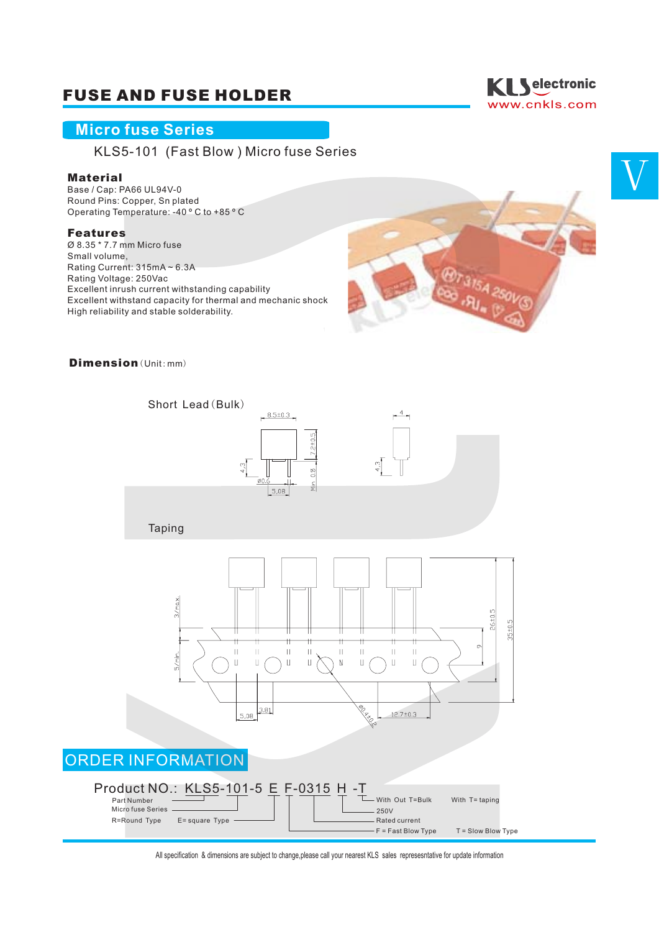## FUSE AND FUSE HOLDER

### **Micro fuse Series**

KLS5-101 (Fast Blow ) Micro fuse Series

#### Material

Base / Cap: PA66 UL94V-0 Round Pins: Copper, Sn plated Operating Temperature: -40 º C to +85 º C

#### Features

Ø 8.35 \* 7.7 mm Micro fuse Small volume, Rating Current: 315mA ~ 6.3A Rating Voltage: 250Vac Excellent inrush current withstanding capability Excellent withstand capacity for thermal and mechanic shock High reliability and stable solderability.



#### Dimension (Unit: mm)



All specification & dimensions are subject to change,please call your nearest KLS sales represesntative for update information